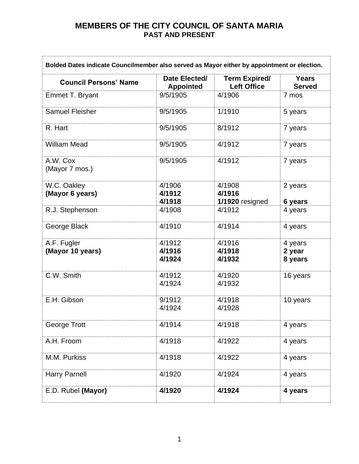| Bolded Dates indicate Councilmember also served as Mayor either by appointment or election. |                                   |                                            |                               |
|---------------------------------------------------------------------------------------------|-----------------------------------|--------------------------------------------|-------------------------------|
| <b>Council Persons' Name</b>                                                                | Date Elected/<br><b>Appointed</b> | <b>Term Expired/</b><br><b>Left Office</b> | <b>Years</b><br><b>Served</b> |
| <b>Emmet T. Bryant</b>                                                                      | 9/5/1905                          | 4/1906                                     | 7 mos                         |
| <b>Samuel Fleisher</b>                                                                      | 9/5/1905                          | 1/1910                                     | 5 years                       |
| R. Hart                                                                                     | 9/5/1905                          | 8/1912                                     | 7 years                       |
| <b>William Mead</b>                                                                         | 9/5/1905                          | 4/1912                                     | 7 years                       |
| A.W. Cox<br>(Mayor 7 mos.)                                                                  | 9/5/1905                          | 4/1912                                     | 7 years                       |
| W.C. Oakley<br>(Mayor 6 years)                                                              | 4/1906<br>4/1912<br>4/1918        | 4/1908<br>4/1916<br>1/1920 resigned        | 2 years<br>6 years            |
| R.J. Stephenson                                                                             | 4/1908                            | 4/1912                                     | 4 years                       |
| George Black                                                                                | 4/1910                            | 4/1914                                     | 4 years                       |
| A.F. Fugler<br>(Mayor 10 years)                                                             | 4/1912<br>4/1916<br>4/1924        | 4/1916<br>4/1918<br>4/1932                 | 4 years<br>2 year<br>8 years  |
| C.W. Smith                                                                                  | 4/1912<br>4/1924                  | 4/1920<br>4/1932                           | 16 years                      |
| E.H. Gibson                                                                                 | 9/1912<br>4/1924                  | 4/1918<br>4/1928                           | 10 years                      |
| George Trott                                                                                | 4/1914                            | 4/1918                                     | 4 years                       |
| A.H. Froom                                                                                  | 4/1918                            | 4/1922                                     | 4 years                       |
| M.M. Purkiss                                                                                | 4/1918                            | 4/1922                                     | 4 years                       |
| <b>Harry Parnell</b>                                                                        | 4/1920                            | 4/1924                                     | 4 years                       |
| E.D. Rubel (Mayor)                                                                          | 4/1920                            | 4/1924                                     | 4 years                       |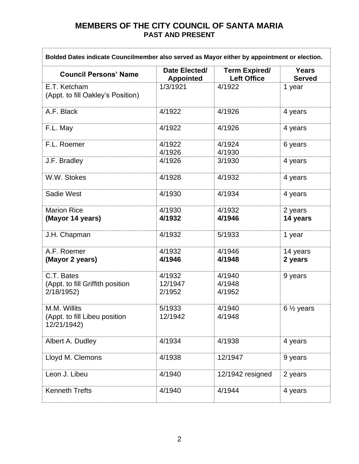| Bolded Dates indicate Councilmember also served as Mayor either by appointment or election. |                                   |                                            |                               |
|---------------------------------------------------------------------------------------------|-----------------------------------|--------------------------------------------|-------------------------------|
| <b>Council Persons' Name</b>                                                                | Date Elected/<br><b>Appointed</b> | <b>Term Expired/</b><br><b>Left Office</b> | <b>Years</b><br><b>Served</b> |
| E.T. Ketcham<br>(Appt. to fill Oakley's Position)                                           | 1/3/1921                          | 4/1922                                     | 1 year                        |
| A.F. Black                                                                                  | 4/1922                            | 4/1926                                     | 4 years                       |
| F.L. May                                                                                    | 4/1922                            | 4/1926                                     | 4 years                       |
| F.L. Roemer                                                                                 | 4/1922<br>4/1926                  | 4/1924<br>4/1930                           | 6 years                       |
| J.F. Bradley                                                                                | 4/1926                            | 3/1930                                     | 4 years                       |
| W.W. Stokes                                                                                 | 4/1928                            | 4/1932                                     | 4 years                       |
| Sadie West                                                                                  | 4/1930                            | 4/1934                                     | 4 years                       |
| <b>Marion Rice</b><br>(Mayor 14 years)                                                      | 4/1930<br>4/1932                  | 4/1932<br>4/1946                           | 2 years<br>14 years           |
| J.H. Chapman                                                                                | 4/1932                            | 5/1933                                     | 1 year                        |
| A.F. Roemer<br>(Mayor 2 years)                                                              | 4/1932<br>4/1946                  | 4/1946<br>4/1948                           | 14 years<br>2 years           |
| C.T. Bates<br>(Appt. to fill Griffith position<br>2/18/1952)                                | 4/1932<br>12/1947<br>2/1952       | 4/1940<br>4/1948<br>4/1952                 | 9 years                       |
| M.M. Willits<br>(Appt. to fill Libeu position<br>12/21/1942)                                | 5/1933<br>12/1942                 | 4/1940<br>4/1948                           | $6\frac{1}{2}$ years          |
| Albert A. Dudley                                                                            | 4/1934                            | 4/1938                                     | 4 years                       |
| Lloyd M. Clemons                                                                            | 4/1938                            | 12/1947                                    | 9 years                       |
| Leon J. Libeu                                                                               | 4/1940                            | 12/1942 resigned                           | 2 years                       |
| <b>Kenneth Trefts</b>                                                                       | 4/1940                            | 4/1944                                     | 4 years                       |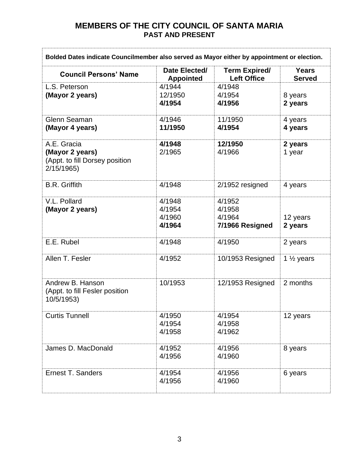| Bolded Dates indicate Councilmember also served as Mayor either by appointment or election. |                                      |                                               |                               |
|---------------------------------------------------------------------------------------------|--------------------------------------|-----------------------------------------------|-------------------------------|
| <b>Council Persons' Name</b>                                                                | Date Elected/<br><b>Appointed</b>    | <b>Term Expired/</b><br><b>Left Office</b>    | <b>Years</b><br><b>Served</b> |
| L.S. Peterson<br>(Mayor 2 years)                                                            | 4/1944<br>12/1950<br>4/1954          | 4/1948<br>4/1954<br>4/1956                    | 8 years<br>2 years            |
| Glenn Seaman<br>(Mayor 4 years)                                                             | 4/1946<br>11/1950                    | 11/1950<br>4/1954                             | 4 years<br>4 years            |
| A.E. Gracia<br>(Mayor 2 years)<br>(Appt. to fill Dorsey position<br>2/15/1965)              | 4/1948<br>2/1965                     | 12/1950<br>4/1966                             | 2 years<br>1 year             |
| <b>B.R. Griffith</b>                                                                        | 4/1948                               | 2/1952 resigned                               | 4 years                       |
| V.L. Pollard<br>(Mayor 2 years)                                                             | 4/1948<br>4/1954<br>4/1960<br>4/1964 | 4/1952<br>4/1958<br>4/1964<br>7/1966 Resigned | 12 years<br>2 years           |
| E.E. Rubel                                                                                  | 4/1948                               | 4/1950                                        | 2 years                       |
| Allen T. Fesler                                                                             | 4/1952                               | 10/1953 Resigned                              | 1 $\frac{1}{2}$ years         |
| Andrew B. Hanson<br>(Appt. to fill Fesler position<br>10/5/1953)                            | 10/1953                              | 12/1953 Resigned                              | 2 months                      |
| <b>Curtis Tunnell</b>                                                                       | 4/1950<br>4/1954<br>4/1958           | 4/1954<br>4/1958<br>4/1962                    | 12 years                      |
| James D. MacDonald                                                                          | 4/1952<br>4/1956                     | 4/1956<br>4/1960                              | 8 years                       |
| <b>Ernest T. Sanders</b>                                                                    | 4/1954<br>4/1956                     | 4/1956<br>4/1960                              | 6 years                       |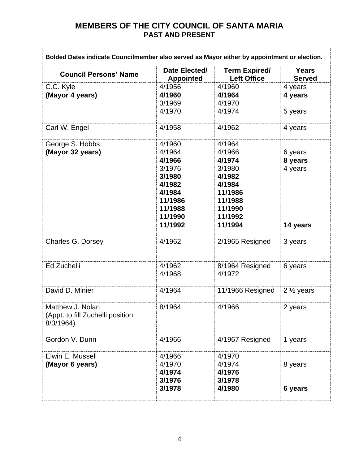| Bolded Dates indicate Councilmember also served as Mayor either by appointment or election. |                                                                                                                |                                                                                                                 |                                           |
|---------------------------------------------------------------------------------------------|----------------------------------------------------------------------------------------------------------------|-----------------------------------------------------------------------------------------------------------------|-------------------------------------------|
| <b>Council Persons' Name</b>                                                                | Date Elected/<br><b>Appointed</b>                                                                              | <b>Term Expired/</b><br><b>Left Office</b>                                                                      | <b>Years</b><br><b>Served</b>             |
| C.C. Kyle<br>(Mayor 4 years)                                                                | 4/1956<br>4/1960<br>3/1969<br>4/1970                                                                           | 4/1960<br>4/1964<br>4/1970<br>4/1974                                                                            | 4 years<br>4 years<br>5 years             |
| Carl W. Engel                                                                               | 4/1958                                                                                                         | 4/1962                                                                                                          | 4 years                                   |
| George S. Hobbs<br>(Mayor 32 years)                                                         | 4/1960<br>4/1964<br>4/1966<br>3/1976<br>3/1980<br>4/1982<br>4/1984<br>11/1986<br>11/1988<br>11/1990<br>11/1992 | 4/1964<br>4/1966<br>4/1974<br>3/1980<br>4/1982<br>4/1984<br>11/1986<br>11/1988<br>11/1990<br>11/1992<br>11/1994 | 6 years<br>8 years<br>4 years<br>14 years |
| Charles G. Dorsey                                                                           | 4/1962                                                                                                         | 2/1965 Resigned                                                                                                 | 3 years                                   |
| Ed Zuchelli                                                                                 | 4/1962<br>4/1968                                                                                               | 8/1964 Resigned<br>4/1972                                                                                       | 6 years                                   |
| David D. Minier                                                                             | 4/1964                                                                                                         | 11/1966 Resigned                                                                                                | 2 $\frac{1}{2}$ years                     |
| Matthew J. Nolan<br>(Appt. to fill Zuchelli position<br>8/3/1964                            | 8/1964                                                                                                         | 4/1966                                                                                                          | 2 years                                   |
| Gordon V. Dunn                                                                              | 4/1966                                                                                                         | 4/1967 Resigned                                                                                                 | 1 years                                   |
| Elwin E. Mussell<br>(Mayor 6 years)                                                         | 4/1966<br>4/1970<br>4/1974<br>3/1976<br>3/1978                                                                 | 4/1970<br>4/1974<br>4/1976<br>3/1978<br>4/1980                                                                  | 8 years<br>6 years                        |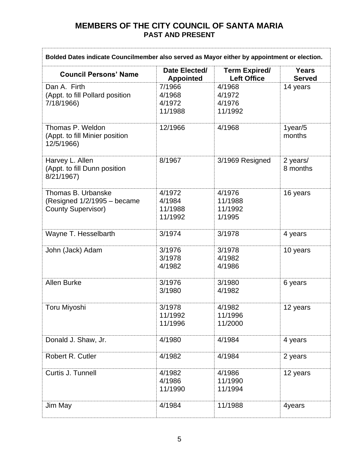| Bolded Dates indicate Councilmember also served as Mayor either by appointment or election. |                                        |                                            |                               |
|---------------------------------------------------------------------------------------------|----------------------------------------|--------------------------------------------|-------------------------------|
| <b>Council Persons' Name</b>                                                                | Date Elected/<br><b>Appointed</b>      | <b>Term Expired/</b><br><b>Left Office</b> | <b>Years</b><br><b>Served</b> |
| Dan A. Firth<br>(Appt. to fill Pollard position<br>7/18/1966)                               | 7/1966<br>4/1968<br>4/1972<br>11/1988  | 4/1968<br>4/1972<br>4/1976<br>11/1992      | 14 years                      |
| Thomas P. Weldon<br>(Appt. to fill Minier position<br>12/5/1966)                            | 12/1966                                | 4/1968                                     | 1year/5<br>months             |
| Harvey L. Allen<br>(Appt. to fill Dunn position<br>8/21/1967)                               | 8/1967                                 | 3/1969 Resigned                            | 2 years/<br>8 months          |
| Thomas B. Urbanske<br>(Resigned $1/2/1995 -$ became<br><b>County Supervisor)</b>            | 4/1972<br>4/1984<br>11/1988<br>11/1992 | 4/1976<br>11/1988<br>11/1992<br>1/1995     | 16 years                      |
| Wayne T. Hesselbarth                                                                        | 3/1974                                 | 3/1978                                     | 4 years                       |
| John (Jack) Adam                                                                            | 3/1976<br>3/1978<br>4/1982             | 3/1978<br>4/1982<br>4/1986                 | 10 years                      |
| <b>Allen Burke</b>                                                                          | 3/1976<br>3/1980                       | 3/1980<br>4/1982                           | 6 years                       |
| <b>Toru Miyoshi</b>                                                                         | 3/1978<br>11/1992<br>11/1996           | 4/1982<br>11/1996<br>11/2000               | 12 years                      |
| Donald J. Shaw, Jr.                                                                         | 4/1980                                 | 4/1984                                     | 4 years                       |
| Robert R. Cutler                                                                            | 4/1982                                 | 4/1984                                     | 2 years                       |
| Curtis J. Tunnell                                                                           | 4/1982<br>4/1986<br>11/1990            | 4/1986<br>11/1990<br>11/1994               | 12 years                      |
| Jim May                                                                                     | 4/1984                                 | 11/1988                                    | 4years                        |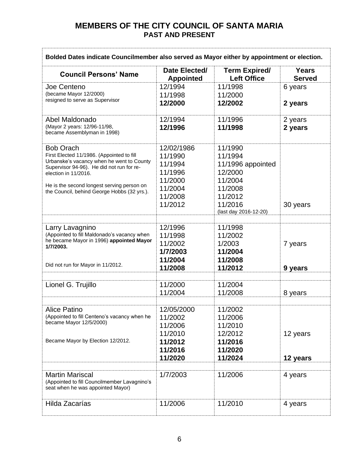| Bolded Dates indicate Councilmember also served as Mayor either by appointment or election. |                                   |                                            |                               |
|---------------------------------------------------------------------------------------------|-----------------------------------|--------------------------------------------|-------------------------------|
| <b>Council Persons' Name</b>                                                                | Date Elected/<br><b>Appointed</b> | <b>Term Expired/</b><br><b>Left Office</b> | <b>Years</b><br><b>Served</b> |
| Joe Centeno                                                                                 | 12/1994                           | 11/1998                                    | 6 years                       |
| (became Mayor 12/2000)<br>resigned to serve as Supervisor                                   | 11/1998<br>12/2000                | 11/2000<br>12/2002                         | 2 years                       |
|                                                                                             |                                   |                                            |                               |
| Abel Maldonado<br>(Mayor 2 years: 12/96-11/98,                                              | 12/1994<br>12/1996                | 11/1996<br>11/1998                         | 2 years<br>2 years            |
| became Assemblyman in 1998)                                                                 |                                   |                                            |                               |
| <b>Bob Orach</b>                                                                            | 12/02/1986                        | 11/1990                                    |                               |
| First Elected 11/1986. (Appointed to fill<br>Urbanske's vacancy when he went to County      | 11/1990                           | 11/1994                                    |                               |
| Supervisor 94-96). He did not run for re-                                                   | 11/1994                           | 11/1996 appointed                          |                               |
| election in 11/2016.                                                                        | 11/1996<br>11/2000                | 12/2000<br>11/2004                         |                               |
| He is the second longest serving person on                                                  | 11/2004                           | 11/2008                                    |                               |
| the Council, behind George Hobbs (32 yrs.).                                                 | 11/2008                           | 11/2012                                    |                               |
|                                                                                             | 11/2012                           | 11/2016                                    | 30 years                      |
|                                                                                             |                                   | (last day 2016-12-20)                      |                               |
|                                                                                             |                                   |                                            |                               |
| Larry Lavagnino<br>(Appointed to fill Maldonado's vacancy when                              | 12/1996                           | 11/1998                                    |                               |
| he became Mayor in 1996) appointed Mayor                                                    | 11/1998<br>11/2002                | 11/2002<br>1/2003                          |                               |
| 1/7/2003.                                                                                   | 1/7/2003                          | 11/2004                                    | 7 years                       |
|                                                                                             | 11/2004                           | 11/2008                                    |                               |
| Did not run for Mayor in 11/2012.                                                           | 11/2008                           | 11/2012                                    | 9 years                       |
|                                                                                             |                                   |                                            |                               |
| Lionel G. Trujillo                                                                          | 11/2000                           | 11/2004                                    |                               |
|                                                                                             | 11/2004                           | 11/2008                                    | 8 years                       |
|                                                                                             |                                   |                                            |                               |
| <b>Alice Patino</b><br>(Appointed to fill Centeno's vacancy when he                         | 12/05/2000<br>11/2002             | 11/2002<br>11/2006                         |                               |
| became Mayor 12/5/2000)                                                                     | 11/2006                           | 11/2010                                    |                               |
|                                                                                             | 11/2010                           | 12/2012                                    | 12 years                      |
| Became Mayor by Election 12/2012.                                                           | 11/2012                           | 11/2016                                    |                               |
|                                                                                             | 11/2016                           | 11/2020                                    |                               |
|                                                                                             | 11/2020                           | 11/2024                                    | 12 years                      |
|                                                                                             |                                   |                                            |                               |
| <b>Martin Mariscal</b><br>(Appointed to fill Councilmember Lavagnino's                      | 1/7/2003                          | 11/2006                                    | 4 years                       |
| seat when he was appointed Mayor)                                                           |                                   |                                            |                               |
| Hilda Zacarías                                                                              | 11/2006                           | 11/2010                                    | 4 years                       |